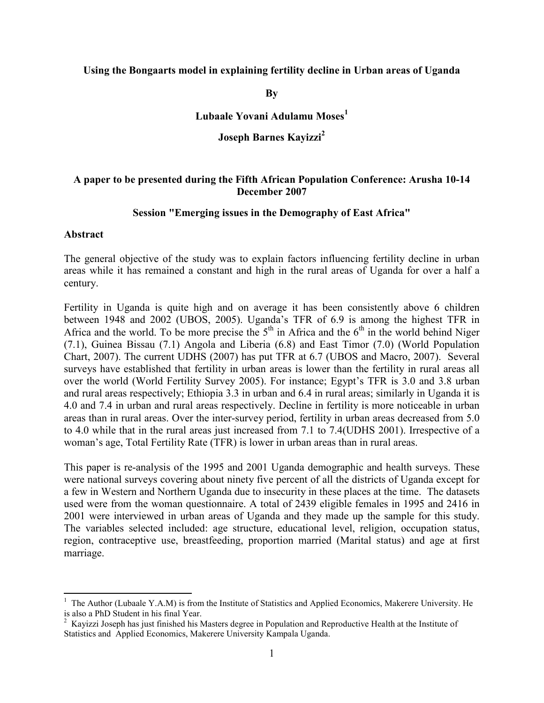#### Using the Bongaarts model in explaining fertility decline in Urban areas of Uganda

**B**<sub>v</sub>

Lubaale Yovani Adulamu Moses<sup>1</sup>

Joseph Barnes Kavizzi<sup>2</sup>

#### A paper to be presented during the Fifth African Population Conference: Arusha 10-14 December 2007

#### Session "Emerging issues in the Demography of East Africa"

#### Abstract

 $\overline{a}$ 

The general objective of the study was to explain factors influencing fertility decline in urban areas while it has remained a constant and high in the rural areas of Uganda for over a half a century.

Fertility in Uganda is quite high and on average it has been consistently above 6 children between 1948 and 2002 (UBOS, 2005). Uganda's TFR of 6.9 is among the highest TFR in Africa and the world. To be more precise the  $5<sup>th</sup>$  in Africa and the  $6<sup>th</sup>$  in the world behind Niger (7.1), Guinea Bissau (7.1) Angola and Liberia (6.8) and East Timor (7.0) (World Population Chart, 2007). The current UDHS (2007) has put TFR at 6.7 (UBOS and Macro, 2007). Several surveys have established that fertility in urban areas is lower than the fertility in rural areas all over the world (World Fertility Survey 2005). For instance; Egypt's TFR is 3.0 and 3.8 urban and rural areas respectively; Ethiopia 3.3 in urban and 6.4 in rural areas; similarly in Uganda it is 4.0 and 7.4 in urban and rural areas respectively. Decline in fertility is more noticeable in urban areas than in rural areas. Over the inter-survey period, fertility in urban areas decreased from 5.0 to 4.0 while that in the rural areas just increased from 7.1 to 7.4(UDHS 2001). Irrespective of a woman's age, Total Fertility Rate (TFR) is lower in urban areas than in rural areas.

This paper is re-analysis of the 1995 and 2001 Uganda demographic and health surveys. These were national surveys covering about ninety five percent of all the districts of Uganda except for a few in Western and Northern Uganda due to insecurity in these places at the time. The datasets used were from the woman questionnaire. A total of 2439 eligible females in 1995 and 2416 in 2001 were interviewed in urban areas of Uganda and they made up the sample for this study. The variables selected included: age structure, educational level, religion, occupation status, region, contraceptive use, breastfeeding, proportion married (Marital status) and age at first marriage.

<sup>&</sup>lt;sup>1</sup> The Author (Lubaale Y.A.M) is from the Institute of Statistics and Applied Economics, Makerere University. He

is also a PhD Student in his final Year.<br><sup>2</sup> Kayizzi Joseph has just finished his Masters degree in Population and Reproductive Health at the Institute of Statistics and Applied Economics, Makerere University Kampala Uganda.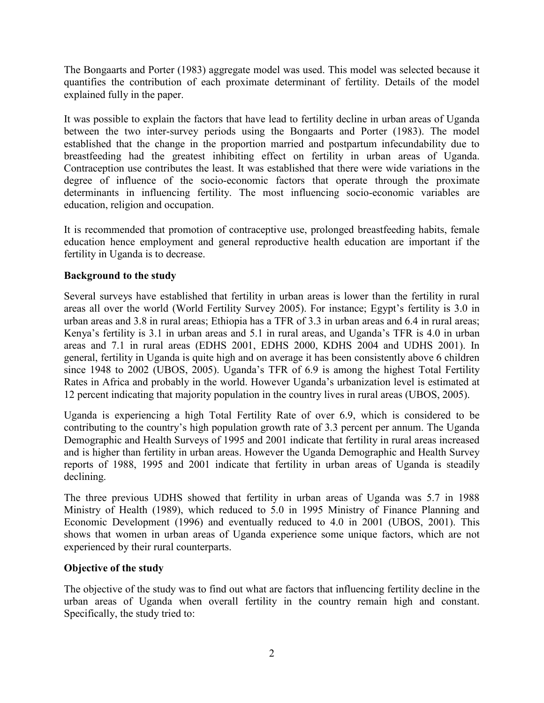The Bongaarts and Porter (1983) aggregate model was used. This model was selected because it quantifies the contribution of each proximate determinant of fertility. Details of the model explained fully in the paper.

It was possible to explain the factors that have lead to fertility decline in urban areas of Uganda between the two inter-survey periods using the Bongaarts and Porter (1983). The model established that the change in the proportion married and postpartum infecundability due to breastfeeding had the greatest inhibiting effect on fertility in urban areas of Uganda. Contraception use contributes the least. It was established that there were wide variations in the degree of influence of the socio-economic factors that operate through the proximate determinants in influencing fertility. The most influencing socio-economic variables are education, religion and occupation.

It is recommended that promotion of contraceptive use, prolonged breastfeeding habits, female education hence employment and general reproductive health education are important if the fertility in Uganda is to decrease.

## Background to the study

Several surveys have established that fertility in urban areas is lower than the fertility in rural areas all over the world (World Fertility Survey 2005). For instance; Egypt's fertility is 3.0 in urban areas and 3.8 in rural areas; Ethiopia has a TFR of 3.3 in urban areas and 6.4 in rural areas; Kenya's fertility is 3.1 in urban areas and 5.1 in rural areas, and Uganda's TFR is 4.0 in urban areas and 7.1 in rural areas (EDHS 2001, EDHS 2000, KDHS 2004 and UDHS 2001). In general, fertility in Uganda is quite high and on average it has been consistently above 6 children since 1948 to 2002 (UBOS, 2005). Uganda's TFR of 6.9 is among the highest Total Fertility Rates in Africa and probably in the world. However Uganda's urbanization level is estimated at 12 percent indicating that majority population in the country lives in rural areas (UBOS, 2005).

Uganda is experiencing a high Total Fertility Rate of over 6.9, which is considered to be contributing to the country's high population growth rate of 3.3 percent per annum. The Uganda Demographic and Health Surveys of 1995 and 2001 indicate that fertility in rural areas increased and is higher than fertility in urban areas. However the Uganda Demographic and Health Survey reports of 1988, 1995 and 2001 indicate that fertility in urban areas of Uganda is steadily declining.

The three previous UDHS showed that fertility in urban areas of Uganda was 5.7 in 1988 Ministry of Health (1989), which reduced to 5.0 in 1995 Ministry of Finance Planning and Economic Development (1996) and eventually reduced to 4.0 in 2001 (UBOS, 2001). This shows that women in urban areas of Uganda experience some unique factors, which are not experienced by their rural counterparts.

## Objective of the study

The objective of the study was to find out what are factors that influencing fertility decline in the urban areas of Uganda when overall fertility in the country remain high and constant. Specifically, the study tried to: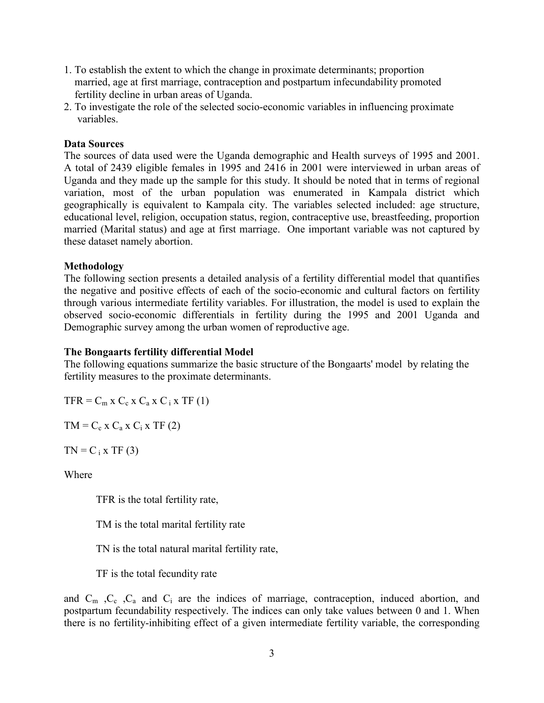- 1. To establish the extent to which the change in proximate determinants; proportion married, age at first marriage, contraception and postpartum infecundability promoted fertility decline in urban areas of Uganda.
- 2. To investigate the role of the selected socio-economic variables in influencing proximate variables.

## Data Sources

The sources of data used were the Uganda demographic and Health surveys of 1995 and 2001. A total of 2439 eligible females in 1995 and 2416 in 2001 were interviewed in urban areas of Uganda and they made up the sample for this study. It should be noted that in terms of regional variation, most of the urban population was enumerated in Kampala district which geographically is equivalent to Kampala city. The variables selected included: age structure, educational level, religion, occupation status, region, contraceptive use, breastfeeding, proportion married (Marital status) and age at first marriage. One important variable was not captured by these dataset namely abortion.

### Methodology

The following section presents a detailed analysis of a fertility differential model that quantifies the negative and positive effects of each of the socio-economic and cultural factors on fertility through various intermediate fertility variables. For illustration, the model is used to explain the observed socio-economic differentials in fertility during the 1995 and 2001 Uganda and Demographic survey among the urban women of reproductive age.

#### The Bongaarts fertility differential Model

The following equations summarize the basic structure of the Bongaarts' model by relating the fertility measures to the proximate determinants.

 $TFR = C_m$  x  $C_c$  x  $C_a$  x  $C_i$  x  $TF(1)$ 

 $TM = C_c$  x  $C_a$  x  $C_i$  x TF (2)

 $TN = C_i$  x TF (3)

Where

TFR is the total fertility rate,

TM is the total marital fertility rate

TN is the total natural marital fertility rate,

TF is the total fecundity rate

and  $C_m$ ,  $C_c$ ,  $C_a$  and  $C_i$  are the indices of marriage, contraception, induced abortion, and postpartum fecundability respectively. The indices can only take values between 0 and 1. When there is no fertility-inhibiting effect of a given intermediate fertility variable, the corresponding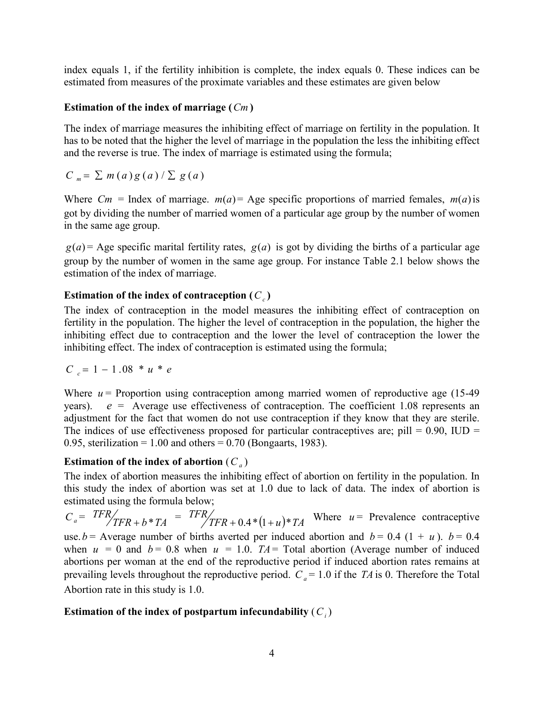index equals 1, if the fertility inhibition is complete, the index equals 0. These indices can be estimated from measures of the proximate variables and these estimates are given below

## Estimation of the index of marriage  $(Cm)$

The index of marriage measures the inhibiting effect of marriage on fertility in the population. It has to be noted that the higher the level of marriage in the population the less the inhibiting effect and the reverse is true. The index of marriage is estimated using the formula;

$$
C_m = \sum m(a)g(a)/\sum g(a)
$$

Where  $C_m$  = Index of marriage.  $m(a)$  = Age specific proportions of married females,  $m(a)$  is got by dividing the number of married women of a particular age group by the number of women in the same age group.

 $g(a)$  = Age specific marital fertility rates,  $g(a)$  is got by dividing the births of a particular age group by the number of women in the same age group. For instance Table 2.1 below shows the estimation of the index of marriage.

## Estimation of the index of contraception  $(C_c)$

The index of contraception in the model measures the inhibiting effect of contraception on fertility in the population. The higher the level of contraception in the population, the higher the inhibiting effect due to contraception and the lower the level of contraception the lower the inhibiting effect. The index of contraception is estimated using the formula;

$$
C_c = 1 - 1.08 * u * e
$$

Where  $u =$  Proportion using contraception among married women of reproductive age (15-49) years).  $e =$  Average use effectiveness of contraception. The coefficient 1.08 represents an adjustment for the fact that women do not use contraception if they know that they are sterile. The indices of use effectiveness proposed for particular contraceptives are; pill =  $0.90$ , IUD = 0.95, sterilization = 1.00 and others =  $0.70$  (Bongaarts, 1983).

# Estimation of the index of abortion  $(C_a)$

The index of abortion measures the inhibiting effect of abortion on fertility in the population. In this study the index of abortion was set at 1.0 due to lack of data. The index of abortion is estimated using the formula below;

 $C_a = TFR$ <br>TFR + b \* TA +  $b * TA$  =  $TFR$   $/$   $TFR + 0.4 * (1 + u) * TA$  $+ 0.4*(1+u)*TA$  Where  $u =$  Prevalence contraceptive use.  $b =$  Average number of births averted per induced abortion and  $b = 0.4$  (1 + u).  $b = 0.4$ when  $u = 0$  and  $b = 0.8$  when  $u = 1.0$ . TA = Total abortion (Average number of induced abortions per woman at the end of the reproductive period if induced abortion rates remains at prevailing levels throughout the reproductive period.  $C_a = 1.0$  if the TA is 0. Therefore the Total Abortion rate in this study is 1.0.

# Estimation of the index of postpartum infecundability  $(C_i)$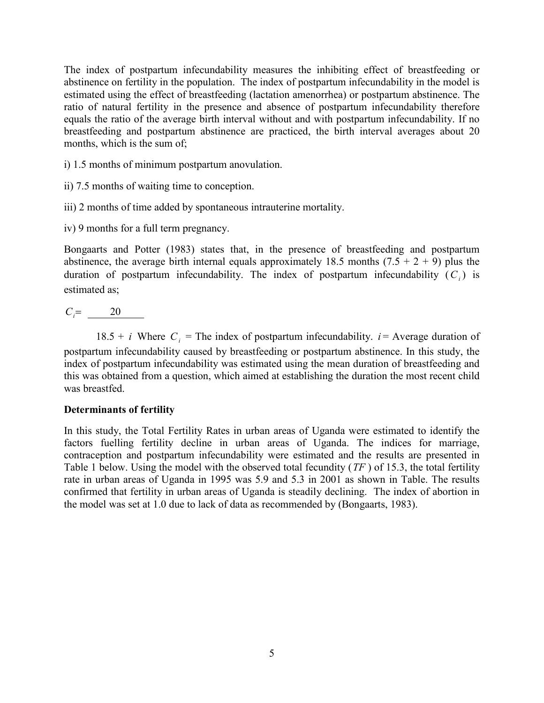The index of postpartum infecundability measures the inhibiting effect of breastfeeding or abstinence on fertility in the population. The index of postpartum infecundability in the model is estimated using the effect of breastfeeding (lactation amenorrhea) or postpartum abstinence. The ratio of natural fertility in the presence and absence of postpartum infecundability therefore equals the ratio of the average birth interval without and with postpartum infecundability. If no breastfeeding and postpartum abstinence are practiced, the birth interval averages about 20 months, which is the sum of;

- i) 1.5 months of minimum postpartum anovulation.
- ii) 7.5 months of waiting time to conception.
- iii) 2 months of time added by spontaneous intrauterine mortality.
- iv) 9 months for a full term pregnancy.

Bongaarts and Potter (1983) states that, in the presence of breastfeeding and postpartum abstinence, the average birth internal equals approximately 18.5 months  $(7.5 + 2 + 9)$  plus the duration of postpartum infecundability. The index of postpartum infecundability  $(C_i)$  is estimated as;

# $C_i = 20$

18.5 + *i* Where  $C_i$  = The index of postpartum infecundability. *i* = Average duration of postpartum infecundability caused by breastfeeding or postpartum abstinence. In this study, the index of postpartum infecundability was estimated using the mean duration of breastfeeding and this was obtained from a question, which aimed at establishing the duration the most recent child was breastfed.

### Determinants of fertility

In this study, the Total Fertility Rates in urban areas of Uganda were estimated to identify the factors fuelling fertility decline in urban areas of Uganda. The indices for marriage, contraception and postpartum infecundability were estimated and the results are presented in Table 1 below. Using the model with the observed total fecundity ( $TF$ ) of 15.3, the total fertility rate in urban areas of Uganda in 1995 was 5.9 and 5.3 in 2001 as shown in Table. The results confirmed that fertility in urban areas of Uganda is steadily declining. The index of abortion in the model was set at 1.0 due to lack of data as recommended by (Bongaarts, 1983).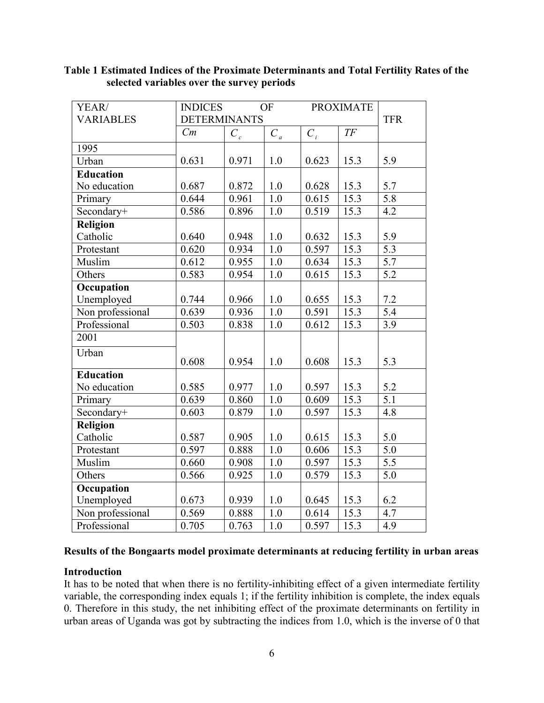| YEAR/<br><b>VARIABLES</b> | <b>INDICES</b><br><b>OF</b><br><b>DETERMINANTS</b> |       |                  | <b>PROXIMATE</b> |        | <b>TFR</b>       |
|---------------------------|----------------------------------------------------|-------|------------------|------------------|--------|------------------|
|                           | Cm                                                 | $C_c$ | $C_a$            | $C_i$            | $T\!F$ |                  |
| 1995                      |                                                    |       |                  |                  |        |                  |
| Urban                     | 0.631                                              | 0.971 | 1.0              | 0.623            | 15.3   | 5.9              |
| <b>Education</b>          |                                                    |       |                  |                  |        |                  |
| No education              | 0.687                                              | 0.872 | 1.0              | 0.628            | 15.3   | 5.7              |
| Primary                   | 0.644                                              | 0.961 | $\overline{1.0}$ | 0.615            | 15.3   | 5.8              |
| Secondary+                | 0.586                                              | 0.896 | 1.0              | 0.519            | 15.3   | $\overline{4.2}$ |
| Religion                  |                                                    |       |                  |                  |        |                  |
| Catholic                  | 0.640                                              | 0.948 | 1.0              | 0.632            | 15.3   | 5.9              |
| Protestant                | 0.620                                              | 0.934 | $\overline{1.0}$ | 0.597            | 15.3   | $\overline{5.3}$ |
| Muslim                    | 0.612                                              | 0.955 | 1.0              | 0.634            | 15.3   | 5.7              |
| Others                    | 0.583                                              | 0.954 | 1.0              | 0.615            | 15.3   | 5.2              |
| Occupation                |                                                    |       |                  |                  |        |                  |
| Unemployed                | 0.744                                              | 0.966 | 1.0              | 0.655            | 15.3   | 7.2              |
| Non professional          | 0.639                                              | 0.936 | $\overline{1.0}$ | 0.591            | 15.3   | $\overline{5.4}$ |
| Professional              | 0.503                                              | 0.838 | 1.0              | 0.612            | 15.3   | 3.9              |
| 2001                      |                                                    |       |                  |                  |        |                  |
| Urban                     | 0.608                                              | 0.954 | 1.0              | 0.608            | 15.3   | 5.3              |
| <b>Education</b>          |                                                    |       |                  |                  |        |                  |
| No education              | 0.585                                              | 0.977 | 1.0              | 0.597            | 15.3   | 5.2              |
| Primary                   | 0.639                                              | 0.860 | $\overline{1.0}$ | 0.609            | 15.3   | $\overline{5.1}$ |
| Secondary+                | 0.603                                              | 0.879 | 1.0              | 0.597            | 15.3   | 4.8              |
| <b>Religion</b>           |                                                    |       |                  |                  |        |                  |
| Catholic                  | 0.587                                              | 0.905 | 1.0              | 0.615            | 15.3   | 5.0              |
| Protestant                | 0.597                                              | 0.888 | 1.0              | 0.606            | 15.3   | 5.0              |
| Muslim                    | 0.660                                              | 0.908 | 1.0              | 0.597            | 15.3   | 5.5              |
| Others                    | 0.566                                              | 0.925 | 1.0              | 0.579            | 15.3   | 5.0              |
| Occupation                |                                                    |       |                  |                  |        |                  |
| Unemployed                | 0.673                                              | 0.939 | 1.0              | 0.645            | 15.3   | 6.2              |
| Non professional          | 0.569                                              | 0.888 | 1.0              | 0.614            | 15.3   | 4.7              |
| Professional              | 0.705                                              | 0.763 | 1.0              | 0.597            | 15.3   | 4.9              |

## Table 1 Estimated Indices of the Proximate Determinants and Total Fertility Rates of the selected variables over the survey periods

## Results of the Bongaarts model proximate determinants at reducing fertility in urban areas

### Introduction

It has to be noted that when there is no fertility-inhibiting effect of a given intermediate fertility variable, the corresponding index equals 1; if the fertility inhibition is complete, the index equals 0. Therefore in this study, the net inhibiting effect of the proximate determinants on fertility in urban areas of Uganda was got by subtracting the indices from 1.0, which is the inverse of 0 that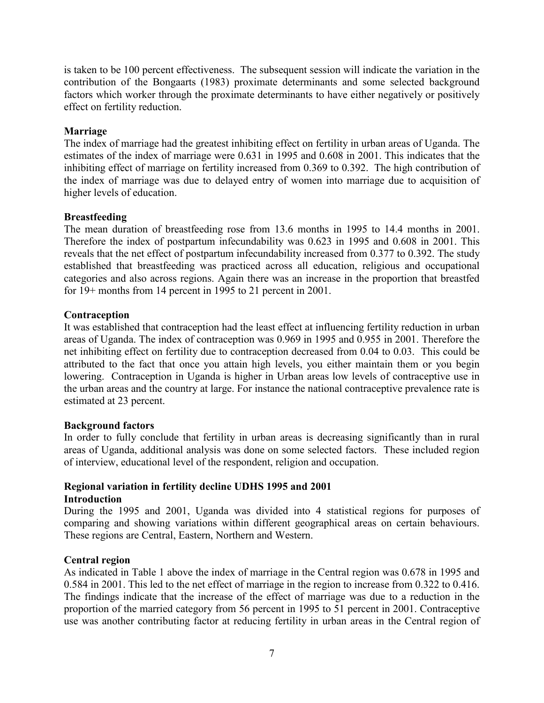is taken to be 100 percent effectiveness. The subsequent session will indicate the variation in the contribution of the Bongaarts (1983) proximate determinants and some selected background factors which worker through the proximate determinants to have either negatively or positively effect on fertility reduction.

## Marriage

The index of marriage had the greatest inhibiting effect on fertility in urban areas of Uganda. The estimates of the index of marriage were 0.631 in 1995 and 0.608 in 2001. This indicates that the inhibiting effect of marriage on fertility increased from 0.369 to 0.392. The high contribution of the index of marriage was due to delayed entry of women into marriage due to acquisition of higher levels of education.

## **Breastfeeding**

The mean duration of breastfeeding rose from 13.6 months in 1995 to 14.4 months in 2001. Therefore the index of postpartum infecundability was 0.623 in 1995 and 0.608 in 2001. This reveals that the net effect of postpartum infecundability increased from 0.377 to 0.392. The study established that breastfeeding was practiced across all education, religious and occupational categories and also across regions. Again there was an increase in the proportion that breastfed for 19+ months from 14 percent in 1995 to 21 percent in 2001.

## **Contraception**

It was established that contraception had the least effect at influencing fertility reduction in urban areas of Uganda. The index of contraception was 0.969 in 1995 and 0.955 in 2001. Therefore the net inhibiting effect on fertility due to contraception decreased from 0.04 to 0.03. This could be attributed to the fact that once you attain high levels, you either maintain them or you begin lowering. Contraception in Uganda is higher in Urban areas low levels of contraceptive use in the urban areas and the country at large. For instance the national contraceptive prevalence rate is estimated at 23 percent.

### Background factors

In order to fully conclude that fertility in urban areas is decreasing significantly than in rural areas of Uganda, additional analysis was done on some selected factors. These included region of interview, educational level of the respondent, religion and occupation.

## Regional variation in fertility decline UDHS 1995 and 2001 Introduction

During the 1995 and 2001, Uganda was divided into 4 statistical regions for purposes of comparing and showing variations within different geographical areas on certain behaviours. These regions are Central, Eastern, Northern and Western.

### Central region

As indicated in Table 1 above the index of marriage in the Central region was 0.678 in 1995 and 0.584 in 2001. This led to the net effect of marriage in the region to increase from 0.322 to 0.416. The findings indicate that the increase of the effect of marriage was due to a reduction in the proportion of the married category from 56 percent in 1995 to 51 percent in 2001. Contraceptive use was another contributing factor at reducing fertility in urban areas in the Central region of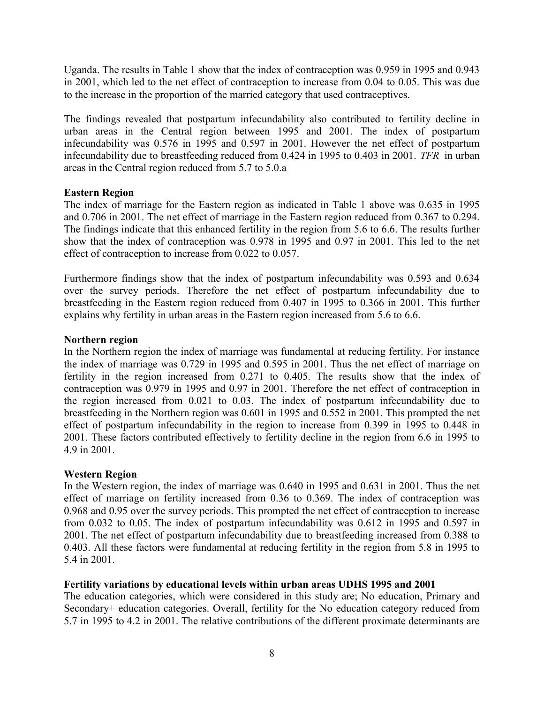Uganda. The results in Table 1 show that the index of contraception was 0.959 in 1995 and 0.943 in 2001, which led to the net effect of contraception to increase from 0.04 to 0.05. This was due to the increase in the proportion of the married category that used contraceptives.

The findings revealed that postpartum infecundability also contributed to fertility decline in urban areas in the Central region between 1995 and 2001. The index of postpartum infecundability was 0.576 in 1995 and 0.597 in 2001. However the net effect of postpartum infecundability due to breastfeeding reduced from 0.424 in 1995 to 0.403 in 2001. TFR in urban areas in the Central region reduced from 5.7 to 5.0.a

### Eastern Region

The index of marriage for the Eastern region as indicated in Table 1 above was 0.635 in 1995 and 0.706 in 2001. The net effect of marriage in the Eastern region reduced from 0.367 to 0.294. The findings indicate that this enhanced fertility in the region from 5.6 to 6.6. The results further show that the index of contraception was 0.978 in 1995 and 0.97 in 2001. This led to the net effect of contraception to increase from 0.022 to 0.057.

Furthermore findings show that the index of postpartum infecundability was 0.593 and 0.634 over the survey periods. Therefore the net effect of postpartum infecundability due to breastfeeding in the Eastern region reduced from 0.407 in 1995 to 0.366 in 2001. This further explains why fertility in urban areas in the Eastern region increased from 5.6 to 6.6.

### Northern region

In the Northern region the index of marriage was fundamental at reducing fertility. For instance the index of marriage was 0.729 in 1995 and 0.595 in 2001. Thus the net effect of marriage on fertility in the region increased from 0.271 to 0.405. The results show that the index of contraception was 0.979 in 1995 and 0.97 in 2001. Therefore the net effect of contraception in the region increased from 0.021 to 0.03. The index of postpartum infecundability due to breastfeeding in the Northern region was 0.601 in 1995 and 0.552 in 2001. This prompted the net effect of postpartum infecundability in the region to increase from 0.399 in 1995 to 0.448 in 2001. These factors contributed effectively to fertility decline in the region from 6.6 in 1995 to 4.9 in 2001.

## Western Region

In the Western region, the index of marriage was 0.640 in 1995 and 0.631 in 2001. Thus the net effect of marriage on fertility increased from 0.36 to 0.369. The index of contraception was 0.968 and 0.95 over the survey periods. This prompted the net effect of contraception to increase from 0.032 to 0.05. The index of postpartum infecundability was 0.612 in 1995 and 0.597 in 2001. The net effect of postpartum infecundability due to breastfeeding increased from 0.388 to 0.403. All these factors were fundamental at reducing fertility in the region from 5.8 in 1995 to 5.4 in 2001.

## Fertility variations by educational levels within urban areas UDHS 1995 and 2001

The education categories, which were considered in this study are; No education, Primary and Secondary+ education categories. Overall, fertility for the No education category reduced from 5.7 in 1995 to 4.2 in 2001. The relative contributions of the different proximate determinants are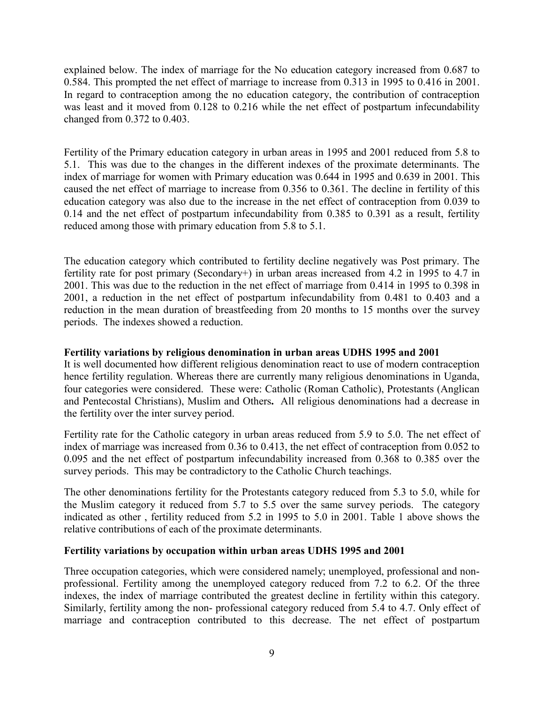explained below. The index of marriage for the No education category increased from 0.687 to 0.584. This prompted the net effect of marriage to increase from 0.313 in 1995 to 0.416 in 2001. In regard to contraception among the no education category, the contribution of contraception was least and it moved from 0.128 to 0.216 while the net effect of postpartum infecundability changed from 0.372 to 0.403.

Fertility of the Primary education category in urban areas in 1995 and 2001 reduced from 5.8 to 5.1. This was due to the changes in the different indexes of the proximate determinants. The index of marriage for women with Primary education was 0.644 in 1995 and 0.639 in 2001. This caused the net effect of marriage to increase from 0.356 to 0.361. The decline in fertility of this education category was also due to the increase in the net effect of contraception from 0.039 to 0.14 and the net effect of postpartum infecundability from 0.385 to 0.391 as a result, fertility reduced among those with primary education from 5.8 to 5.1.

The education category which contributed to fertility decline negatively was Post primary. The fertility rate for post primary (Secondary+) in urban areas increased from 4.2 in 1995 to 4.7 in 2001. This was due to the reduction in the net effect of marriage from 0.414 in 1995 to 0.398 in 2001, a reduction in the net effect of postpartum infecundability from 0.481 to 0.403 and a reduction in the mean duration of breastfeeding from 20 months to 15 months over the survey periods. The indexes showed a reduction.

### Fertility variations by religious denomination in urban areas UDHS 1995 and 2001

It is well documented how different religious denomination react to use of modern contraception hence fertility regulation. Whereas there are currently many religious denominations in Uganda, four categories were considered. These were: Catholic (Roman Catholic), Protestants (Anglican and Pentecostal Christians), Muslim and Others. All religious denominations had a decrease in the fertility over the inter survey period.

Fertility rate for the Catholic category in urban areas reduced from 5.9 to 5.0. The net effect of index of marriage was increased from 0.36 to 0.413, the net effect of contraception from 0.052 to 0.095 and the net effect of postpartum infecundability increased from 0.368 to 0.385 over the survey periods. This may be contradictory to the Catholic Church teachings.

The other denominations fertility for the Protestants category reduced from 5.3 to 5.0, while for the Muslim category it reduced from 5.7 to 5.5 over the same survey periods. The category indicated as other , fertility reduced from 5.2 in 1995 to 5.0 in 2001. Table 1 above shows the relative contributions of each of the proximate determinants.

### Fertility variations by occupation within urban areas UDHS 1995 and 2001

Three occupation categories, which were considered namely; unemployed, professional and nonprofessional. Fertility among the unemployed category reduced from 7.2 to 6.2. Of the three indexes, the index of marriage contributed the greatest decline in fertility within this category. Similarly, fertility among the non- professional category reduced from 5.4 to 4.7. Only effect of marriage and contraception contributed to this decrease. The net effect of postpartum